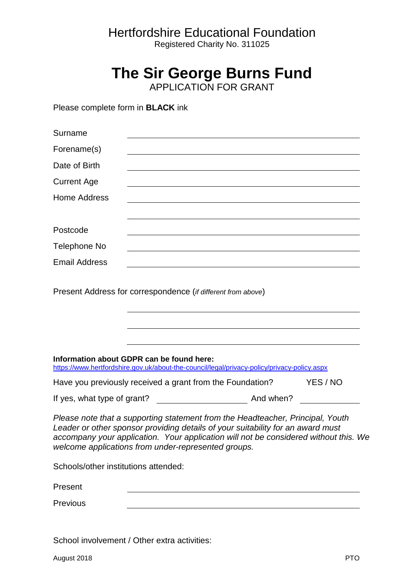## Hertfordshire Educational Foundation

Registered Charity No. 311025

## **The Sir George Burns Fund**

APPLICATION FOR GRANT

Please complete form in **BLACK** ink

| Surname                              |                                                                                                                                                                                                                                                                                                                  |          |
|--------------------------------------|------------------------------------------------------------------------------------------------------------------------------------------------------------------------------------------------------------------------------------------------------------------------------------------------------------------|----------|
| Forename(s)                          |                                                                                                                                                                                                                                                                                                                  |          |
| Date of Birth                        |                                                                                                                                                                                                                                                                                                                  |          |
| <b>Current Age</b>                   |                                                                                                                                                                                                                                                                                                                  |          |
| <b>Home Address</b>                  |                                                                                                                                                                                                                                                                                                                  |          |
| Postcode                             | <u> 1980 - Jan Samuel Barbara, margaret eta idazlea (h. 1980).</u>                                                                                                                                                                                                                                               |          |
| Telephone No                         |                                                                                                                                                                                                                                                                                                                  |          |
| <b>Email Address</b>                 | <u> 1989 - Johann Stein, syntantista eta martxiar eta martxia eta martxia eta martxia eta martxia eta martxia e</u>                                                                                                                                                                                              |          |
|                                      | Present Address for correspondence (if different from above)                                                                                                                                                                                                                                                     |          |
|                                      | Information about GDPR can be found here:<br>https://www.hertfordshire.gov.uk/about-the-council/legal/privacy-policy/privacy-policy.aspx                                                                                                                                                                         |          |
|                                      | Have you previously received a grant from the Foundation?                                                                                                                                                                                                                                                        | YES / NO |
| If yes, what type of grant?          | <b>And when?</b> And when?                                                                                                                                                                                                                                                                                       |          |
|                                      | Please note that a supporting statement from the Headteacher, Principal, Youth<br>Leader or other sponsor providing details of your suitability for an award must<br>accompany your application. Your application will not be considered without this. We<br>welcome applications from under-represented groups. |          |
| Schools/other institutions attended: |                                                                                                                                                                                                                                                                                                                  |          |
| Present                              |                                                                                                                                                                                                                                                                                                                  |          |
| Previous                             |                                                                                                                                                                                                                                                                                                                  |          |

School involvement / Other extra activities: